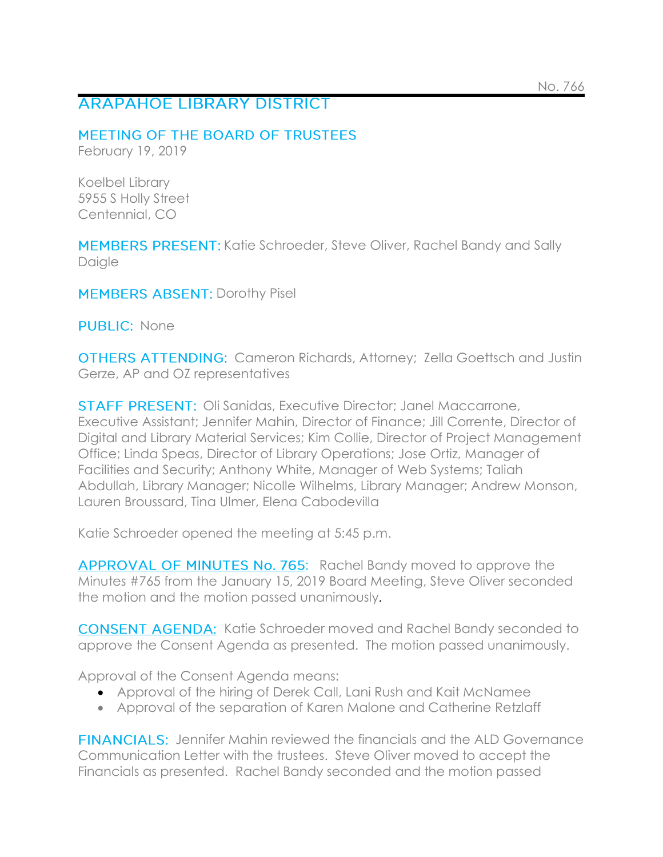# **ARAPAHOE LIBRARY DISTRICT**

## MEETING OF THE BOARD OF TRUSTEES

February 19, 2019

Koelbel Library 5955 S Holly Street Centennial, CO

MEMBERS PRESENT: Katie Schroeder, Steve Oliver, Rachel Bandy and Sally Daigle

**MEMBERS ABSENT: Dorothy Pisel** 

PUBLIC: None

**OTHERS ATTENDING:** Cameron Richards, Attorney; Zella Goettsch and Justin Gerze, AP and OZ representatives

**STAFF PRESENT: Oli Sanidas, Executive Director; Janel Maccarrone,** Executive Assistant; Jennifer Mahin, Director of Finance; Jill Corrente, Director of Digital and Library Material Services; Kim Collie, Director of Project Management Office; Linda Speas, Director of Library Operations; Jose Ortiz, Manager of Facilities and Security; Anthony White, Manager of Web Systems; Taliah Abdullah, Library Manager; Nicolle Wilhelms, Library Manager; Andrew Monson, Lauren Broussard, Tina Ulmer, Elena Cabodevilla

Katie Schroeder opened the meeting at 5:45 p.m.

APPROVAL OF MINUTES No. 765: Rachel Bandy moved to approve the Minutes #765 from the January 15, 2019 Board Meeting, Steve Oliver seconded the motion and the motion passed unanimously.

**CONSENT AGENDA:** Katie Schroeder moved and Rachel Bandy seconded to approve the Consent Agenda as presented. The motion passed unanimously.

Approval of the Consent Agenda means:

- Approval of the hiring of Derek Call, Lani Rush and Kait McNamee
- Approval of the separation of Karen Malone and Catherine Retzlaff

**FINANCIALS:** Jennifer Mahin reviewed the financials and the ALD Governance Communication Letter with the trustees. Steve Oliver moved to accept the Financials as presented. Rachel Bandy seconded and the motion passed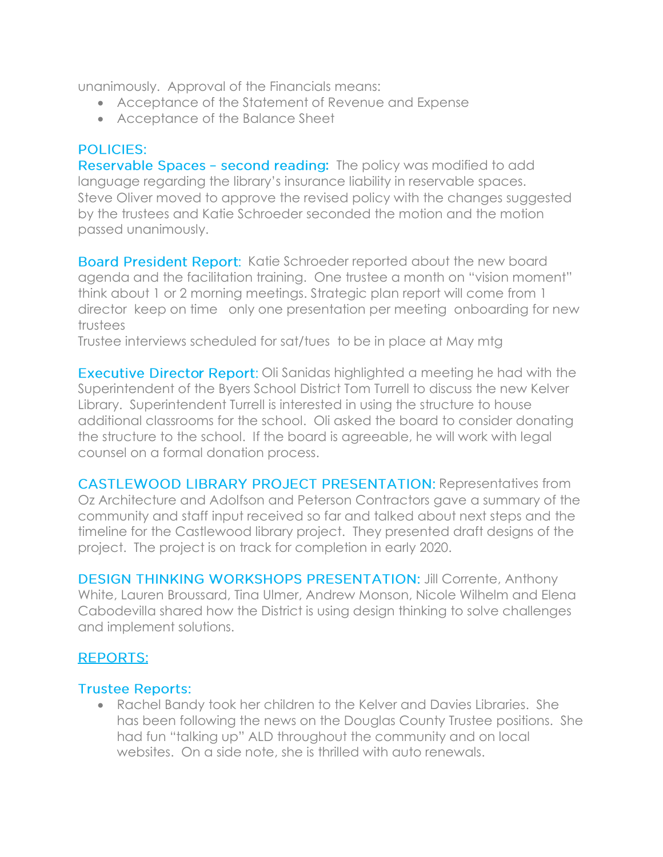unanimously. Approval of the Financials means:

- Acceptance of the Statement of Revenue and Expense
- Acceptance of the Balance Sheet

## **POLICIES:**

**Reservable Spaces - second reading:** The policy was modified to add language regarding the library's insurance liability in reservable spaces. Steve Oliver moved to approve the revised policy with the changes suggested by the trustees and Katie Schroeder seconded the motion and the motion passed unanimously.

Board President Report: Katie Schroeder reported about the new board agenda and the facilitation training. One trustee a month on "vision moment" think about 1 or 2 morning meetings. Strategic plan report will come from 1 director keep on time only one presentation per meeting onboarding for new trustees

Trustee interviews scheduled for sat/tues to be in place at May mtg

**Executive Director Report:** Oli Sanidas highlighted a meeting he had with the Superintendent of the Byers School District Tom Turrell to discuss the new Kelver Library. Superintendent Turrell is interested in using the structure to house additional classrooms for the school. Oli asked the board to consider donating the structure to the school. If the board is agreeable, he will work with legal counsel on a formal donation process.

CASTLEWOOD LIBRARY PROJECT PRESENTATION: Representatives from Oz Architecture and Adolfson and Peterson Contractors gave a summary of the community and staff input received so far and talked about next steps and the timeline for the Castlewood library project. They presented draft designs of the project. The project is on track for completion in early 2020.

DESIGN THINKING WORKSHOPS PRESENTATION: Jill Corrente, Anthony White, Lauren Broussard, Tina Ulmer, Andrew Monson, Nicole Wilhelm and Elena Cabodevilla shared how the District is using design thinking to solve challenges and implement solutions.

## **REPORTS:**

#### **Trustee Reports:**

• Rachel Bandy took her children to the Kelver and Davies Libraries. She has been following the news on the Douglas County Trustee positions. She had fun "talking up" ALD throughout the community and on local websites. On a side note, she is thrilled with auto renewals.